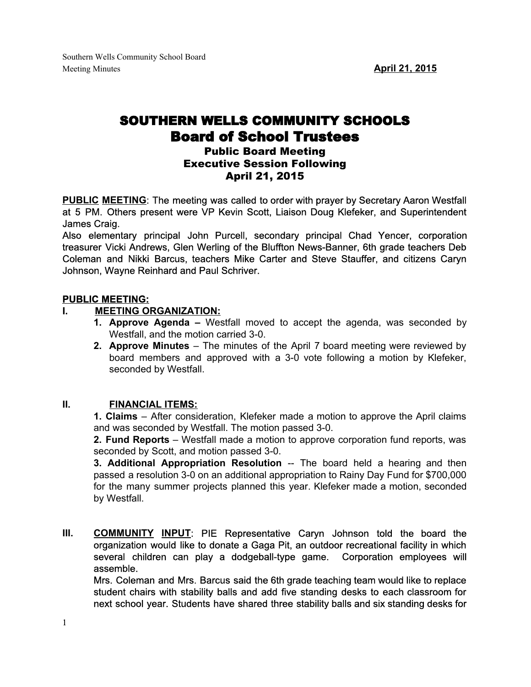# SOUTHERN WELLS COMMUNITY SCHOOLS Board of School Trustees

## Public Board Meeting Executive Session Following April 21, 2015

**PUBLIC MEETING**: The meeting was called to order with prayer by Secretary Aaron Westfall at 5 PM. Others present were VP Kevin Scott, Liaison Doug Klefeker, and Superintendent James Craig.

Also elementary principal John Purcell, secondary principal Chad Yencer, corporation treasurer Vicki Andrews, Glen Werling of the Bluffton News-Banner, 6th grade teachers Deb Coleman and Nikki Barcus, teachers Mike Carter and Steve Stauffer, and citizens Caryn Johnson, Wayne Reinhard and Paul Schriver.

## **PUBLIC MEETING:**

## **I. MEETING ORGANIZATION:**

- **1. Approve Agenda –** Westfall moved to accept the agenda, was seconded by Westfall, and the motion carried 3-0.
- **2. Approve Minutes** The minutes of the April 7 board meeting were reviewed by board members and approved with a 3-0 vote following a motion by Klefeker, seconded by Westfall.

## **II. FINANCIAL ITEMS:**

**1. Claims** – After consideration, Klefeker made a motion to approve the April claims and was seconded by Westfall. The motion passed 3-0.

**2. Fund Reports** – Westfall made a motion to approve corporation fund reports, was seconded by Scott, and motion passed 3-0.

**3. Additional Appropriation Resolution** The board held a hearing and then passed a resolution 3-0 on an additional appropriation to Rainy Day Fund for \$700,000 for the many summer projects planned this year. Klefeker made a motion, seconded by Westfall.

**III. COMMUNITY INPUT**: PIE Representative Caryn Johnson told the board the organization would like to donate a Gaga Pit, an outdoor recreational facility in which several children can play a dodgeball-type game. Corporation employees will assemble.

Mrs. Coleman and Mrs. Barcus said the 6th grade teaching team would like to replace student chairs with stability balls and add five standing desks to each classroom for next school year. Students have shared three stability balls and six standing desks for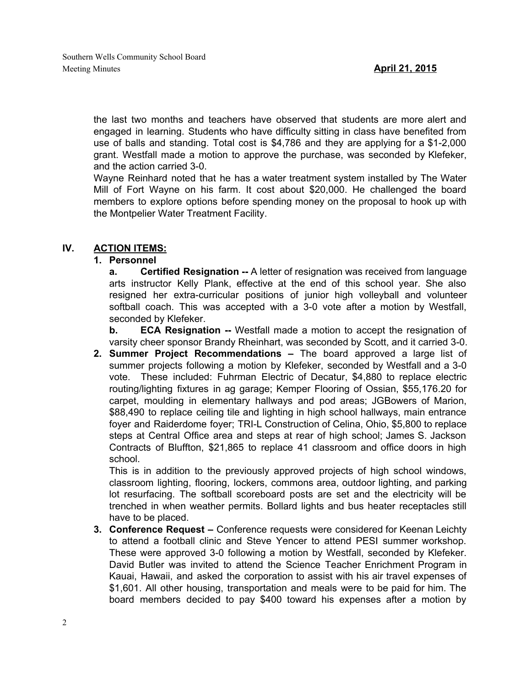the last two months and teachers have observed that students are more alert and engaged in learning. Students who have difficulty sitting in class have benefited from use of balls and standing. Total cost is \$4,786 and they are applying for a \$12,000 grant. Westfall made a motion to approve the purchase, was seconded by Klefeker, and the action carried 3-0.

Wayne Reinhard noted that he has a water treatment system installed by The Water Mill of Fort Wayne on his farm. It cost about \$20,000. He challenged the board members to explore options before spending money on the proposal to hook up with the Montpelier Water Treatment Facility.

#### **IV. ACTION ITEMS:**

#### **1. Personnel**

**a. Certified Resignation** A letter of resignation was received from language arts instructor Kelly Plank, effective at the end of this school year. She also resigned her extra-curricular positions of junior high volleyball and volunteer softball coach. This was accepted with a 3-0 vote after a motion by Westfall, seconded by Klefeker.

**b. ECA Resignation** -- Westfall made a motion to accept the resignation of varsity cheer sponsor Brandy Rheinhart, was seconded by Scott, and it carried 3-0.

**2. Summer Project Recommendations –** The board approved a large list of summer projects following a motion by Klefeker, seconded by Westfall and a 3-0 vote. These included: Fuhrman Electric of Decatur, \$4,880 to replace electric routing/lighting fixtures in ag garage; Kemper Flooring of Ossian, \$55,176.20 for carpet, moulding in elementary hallways and pod areas; JGBowers of Marion, \$88,490 to replace ceiling tile and lighting in high school hallways, main entrance foyer and Raiderdome foyer; TRI-L Construction of Celina, Ohio, \$5,800 to replace steps at Central Office area and steps at rear of high school; James S. Jackson Contracts of Bluffton, \$21,865 to replace 41 classroom and office doors in high school.

This is in addition to the previously approved projects of high school windows, classroom lighting, flooring, lockers, commons area, outdoor lighting, and parking lot resurfacing. The softball scoreboard posts are set and the electricity will be trenched in when weather permits. Bollard lights and bus heater receptacles still have to be placed.

**3. Conference Request –** Conference requests were considered for Keenan Leichty to attend a football clinic and Steve Yencer to attend PESI summer workshop. These were approved 3-0 following a motion by Westfall, seconded by Klefeker. David Butler was invited to attend the Science Teacher Enrichment Program in Kauai, Hawaii, and asked the corporation to assist with his air travel expenses of \$1,601. All other housing, transportation and meals were to be paid for him. The board members decided to pay \$400 toward his expenses after a motion by